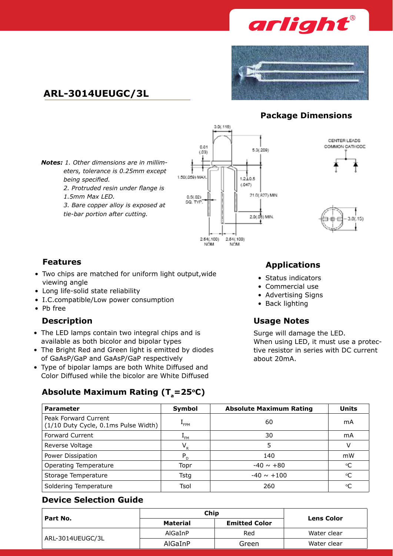



## **ARL-3014UEUGC/3L**

## **Package Dimensions**

*Notes: 1. Other dimensions are in millimeters, tolerance is 0.25mm except being specified.* 

*2. Protruded resin under flange is* 

*1.5mm Max LED.*

*3. Bare copper alloy is exposed at tie-bar portion after cutting.*







- Two chips are matched for uniform light output, wide viewing angle
- Long life-solid state reliability
- I.C.compatible/Low power consumption
- • Pb free

- The LED lamps contain two integral chips and is available as both bicolor and bipolar types
- The Bright Red and Green light is emitted by diodes of GaAsP/GaP and GaAsP/GaP respectively
- Type of bipolar lamps are both White Diffused and Color Diffused while the bicolor are White Diffused

Absolute Maximum Rating (T<sub>a</sub>=25°C)

# **Features Applications**

- • Status indicators
- Commercial use
- Advertising Signs
- Back lighting

## **Description Usage Notes**

Surge will damage the LED. When using LED, it must use a protective resistor in series with DC current about 20mA.

| <b>Parameter</b>                                             | Symbol           | <b>Absolute Maximum Rating</b> | <b>Units</b>    |
|--------------------------------------------------------------|------------------|--------------------------------|-----------------|
| Peak Forward Current<br>(1/10 Duty Cycle, 0.1ms Pulse Width) | <sup>+</sup> FPM | 60                             | mA              |
| <b>Forward Current</b>                                       | $+FM$            | 30                             | mA              |
| Reverse Voltage                                              | $V_{R}$          | 5                              | v               |
| Power Dissipation                                            | $P_{D}$          | 140                            | mW              |
| <b>Operating Temperature</b>                                 | Topr             | $-40 \sim +80$                 | $\rm ^{\circ}C$ |
| Storage Temperature                                          | Tstg             | $-40 \sim +100$                | °C              |
| Soldering Temperature                                        | Tsol             | 260                            | °C              |

## **Device Selection Guide**

| Part No.         | Chip            | <b>Lens Color</b>    |             |
|------------------|-----------------|----------------------|-------------|
|                  | <b>Material</b> | <b>Emitted Color</b> |             |
| ARL-3014UEUGC/3L | AlGaInP         | Red                  | Water clear |
|                  | AlGaInP         | Green                | Water clear |